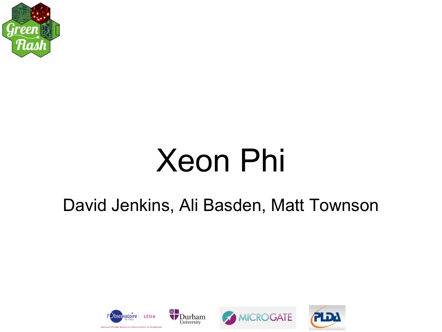

# Xeon Phi

#### David Jenkins, Ali Basden, Matt Townson



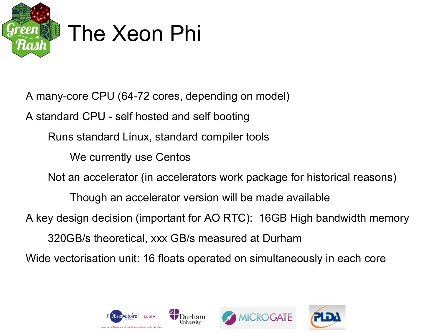

A many-core CPU (64-72 cores, depending on model)

A standard CPU - self hosted and self booting

Runs standard Linux, standard compiler tools

We currently use Centos

Not an accelerator (in accelerators work package for historical reasons)

Though an accelerator version will be made available

A key design decision (important for AO RTC): 16GB High bandwidth memory

320GB/s theoretical, xxx GB/s measured at Durham

Wide vectorisation unit: 16 floats operated on simultaneously in each core





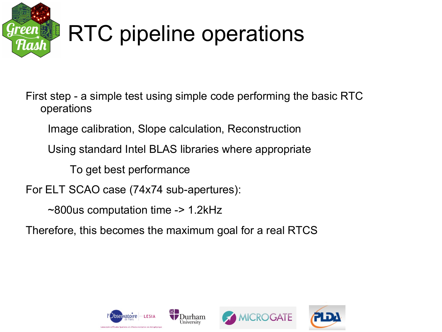

# RTC pipeline operations

First step - a simple test using simple code performing the basic RTC operations

Image calibration, Slope calculation, Reconstruction

Using standard Intel BLAS libraries where appropriate

To get best performance

For ELT SCAO case (74x74 sub-apertures):

~800us computation time -> 1.2kHz

Therefore, this becomes the maximum goal for a real RTCS

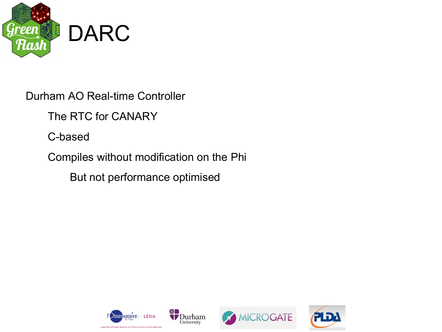

Durham AO Real-time Controller

The RTC for CANARY

C-based

Compiles without modification on the Phi

But not performance optimised





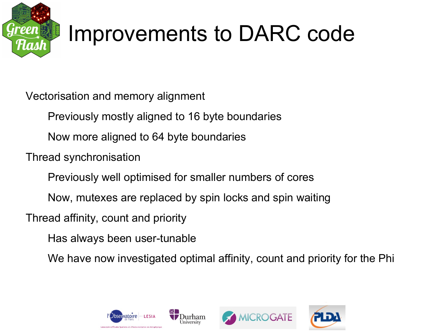

## Improvements to DARC code

Vectorisation and memory alignment

Previously mostly aligned to 16 byte boundaries

Now more aligned to 64 byte boundaries

Thread synchronisation

Previously well optimised for smaller numbers of cores

Now, mutexes are replaced by spin locks and spin waiting

Thread affinity, count and priority

Has always been user-tunable

We have now investigated optimal affinity, count and priority for the Phi





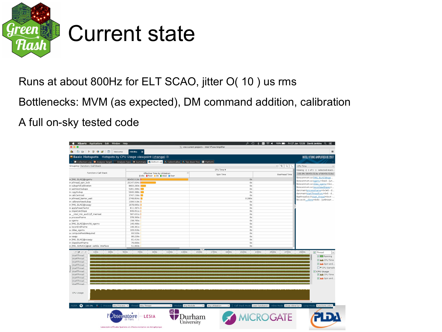

#### Current state

Runs at about 800Hz for ELT SCAO, jitter O( 10 ) us rms

Bottlenecks: MVM (as expected), DM command addition, calibration

A full on-sky tested code

|                                                                                                                                                                                 | XQuartz Applications Edit Window Help                                                                                                         | X <no current="" project=""> - Intel VTune Amplifier</no> |                         | <b>IIII</b> ନି = 100% IIII Fri 27 Jan 12:29 David Jenkins Q i $\equiv$                                                                                                                                                                                |
|---------------------------------------------------------------------------------------------------------------------------------------------------------------------------------|-----------------------------------------------------------------------------------------------------------------------------------------------|-----------------------------------------------------------|-------------------------|-------------------------------------------------------------------------------------------------------------------------------------------------------------------------------------------------------------------------------------------------------|
| $\odot$<br>西<br><b>QD</b><br>B<br>fh.<br><b>Oz</b><br>D<br>Ø<br>Welcome                                                                                                         | r003hs<br>$\boldsymbol{\mathsf{x}}$                                                                                                           |                                                           |                         | $\equiv$                                                                                                                                                                                                                                              |
|                                                                                                                                                                                 | <b>Basic Hotspots</b> Hotspots by CPU Usage viewpoint (change) <b>@</b>                                                                       |                                                           |                         | INTEL VTUNE AMPLIFIER XE 2017                                                                                                                                                                                                                         |
|                                                                                                                                                                                 | Collection Log <b>O</b> Analysis Target A Analysis Type <b>H</b> Summary <b>C</b> Bottom-up C Caller/Callee C Top-down Tree <b>E</b> Platform |                                                           |                         |                                                                                                                                                                                                                                                       |
| Grouping: Function / Call Stack                                                                                                                                                 |                                                                                                                                               |                                                           | $\vee$ X Q<br>9.        | CPU Time                                                                                                                                                                                                                                              |
|                                                                                                                                                                                 |                                                                                                                                               | CPU Time $\overline{\mathbf{v}}$                          |                         | Viewing ( 1 of 1 ) selected stack                                                                                                                                                                                                                     |
| Function / Call Stack                                                                                                                                                           | $  \rangle \rangle$<br>Effective Time by Utilization<br><b>Ildle OPoor</b> Ok dideal Over                                                     | Spin Time                                                 | Overhead Time           | 100.0% (80450.519s of 80450.519s)                                                                                                                                                                                                                     |
| ▶ [MKL BLAS]@sgemv                                                                                                                                                              | 80450.519s                                                                                                                                    | 0s                                                        |                         | libreconmvm.so![MKL BLAS]@sge                                                                                                                                                                                                                         |
| » pthread spin lock                                                                                                                                                             | 25147.934s                                                                                                                                    | 0s                                                        |                         | libreconmvm.solsgemy+0xe3 - [un<br>libreconmvm.solcblas_sgemy+0x1<br>libreconmvm.solreconNewSlopes+<br>darcmain!processFrame+0x3e5 - d<br>darcmain!startThreadFunc+0x5 - d<br>libpthread.so.01start_thread+0xc4 -<br>libc.so.6! clone+0x6c - [unknown |
| > subapPxlCalibration                                                                                                                                                           | 8693.283s                                                                                                                                     | 0s                                                        |                         |                                                                                                                                                                                                                                                       |
| » waitNextSubaps                                                                                                                                                                | 5281.396s                                                                                                                                     | 0s                                                        |                         |                                                                                                                                                                                                                                                       |
| ▶ copySubap                                                                                                                                                                     | 5040.388s                                                                                                                                     | 0s                                                        |                         |                                                                                                                                                                                                                                                       |
| ▶ calcCentroid                                                                                                                                                                  | 3747.156s                                                                                                                                     | 0s                                                        |                         |                                                                                                                                                                                                                                                       |
| » pthread barrier wait                                                                                                                                                          | 2748.854s                                                                                                                                     | 0.280s                                                    |                         |                                                                                                                                                                                                                                                       |
| > calibrateNewSubap                                                                                                                                                             | 1306.519s                                                                                                                                     | 0s                                                        |                         |                                                                                                                                                                                                                                                       |
| ▶ [MKL BLAS]@saxpy                                                                                                                                                              | 1078.695s                                                                                                                                     | 0s                                                        |                         |                                                                                                                                                                                                                                                       |
| > applyPowerFactor                                                                                                                                                              | 811.397s                                                                                                                                      | 0s                                                        |                         |                                                                                                                                                                                                                                                       |
| > slopeCalcSlope                                                                                                                                                                | 649.051s                                                                                                                                      | 0s                                                        |                         |                                                                                                                                                                                                                                                       |
| p _intel_mic_avx512f_memset                                                                                                                                                     | 587.631s                                                                                                                                      | 0s                                                        |                         |                                                                                                                                                                                                                                                       |
| p processFrame                                                                                                                                                                  | 378.393s                                                                                                                                      | 0s                                                        |                         |                                                                                                                                                                                                                                                       |
| » sgemv                                                                                                                                                                         | 158.765s                                                                                                                                      | 0s                                                        |                         |                                                                                                                                                                                                                                                       |
| » [MKL BLAS]@errchk sgemv                                                                                                                                                       | 146.466s                                                                                                                                      | 0s                                                        |                         |                                                                                                                                                                                                                                                       |
| » reconEndFrame                                                                                                                                                                 | 146.361s                                                                                                                                      | 0s                                                        |                         |                                                                                                                                                                                                                                                       |
| p cblas_sgemv                                                                                                                                                                   | 103.310s                                                                                                                                      | 0s                                                        |                         |                                                                                                                                                                                                                                                       |
| p computePixelsRequired                                                                                                                                                         | 93.520s                                                                                                                                       | 0s                                                        |                         |                                                                                                                                                                                                                                                       |
| $\triangleright$ saxpy                                                                                                                                                          | 86.226s                                                                                                                                       | 0s                                                        |                         |                                                                                                                                                                                                                                                       |
| ▶ [MKL BLAS]@xsaxpy                                                                                                                                                             | 81.414s                                                                                                                                       | 0s                                                        |                         |                                                                                                                                                                                                                                                       |
| > slopeStartFrame                                                                                                                                                               | 76.600s                                                                                                                                       | 0s                                                        |                         |                                                                                                                                                                                                                                                       |
| ▶ [MKL SERVICE]@set xerbla interface                                                                                                                                            | 51.963s                                                                                                                                       | 0s                                                        |                         |                                                                                                                                                                                                                                                       |
| 100s<br>300s<br>QPQ+Q=Q*<br>startThread<br>startThread<br>startThread<br>startThread<br>startThread<br>startThread<br>startThread<br>startThread<br>startThread.<br>startThread | 500s<br>700s<br>1100s<br>1300s<br>900s                                                                                                        | 1500s<br>1700s<br>1900s<br>2100s                          | 2700s<br>2300s<br>2500s | 2900s<br>$\boxed{\triangledown}$ Thread<br>$\neg$ <b>Bunning</b><br><b>V Auf</b> CPU Time<br>V But Spin and<br>□▼ CPU Sample<br>CPU Usage<br>MAL CPU Time<br>☑ LL Spin and                                                                            |
| CPU Usage                                                                                                                                                                       |                                                                                                                                               |                                                           |                         |                                                                                                                                                                                                                                                       |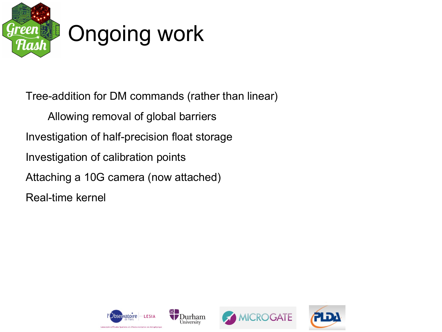

Tree-addition for DM commands (rather than linear) Allowing removal of global barriers Investigation of half-precision float storage Investigation of calibration points Attaching a 10G camera (now attached) Real-time kernel





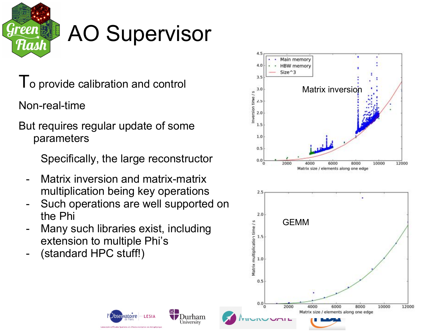

#### AO Supervisor

To provide calibration and control

Non-real-time

But requires regular update of some parameters

Specifically, the large reconstructor

- Matrix inversion and matrix-matrix multiplication being key operations
- Such operations are well supported on the Phi

bservatoire

ratoire d'Études Spatiales et d'Instrumentation en Astrop

 $-LESIA$ 

Durham University

- Many such libraries exist, including extension to multiple Phi's
- (standard HPC stuff!)

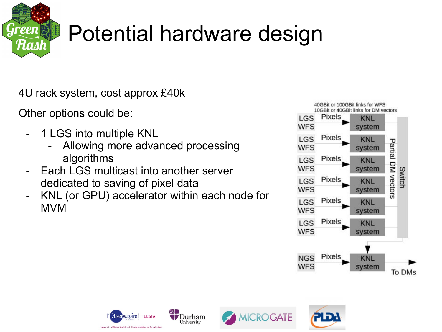

# Potential hardware design

4U rack system, cost approx £40k

Other options could be:

- 1 LGS into multiple KNL
	- Allowing more advanced processing algorithms
- Each LGS multicast into another server dedicated to saving of pixel data
- KNL (or GPU) accelerator within each node for MVM





University